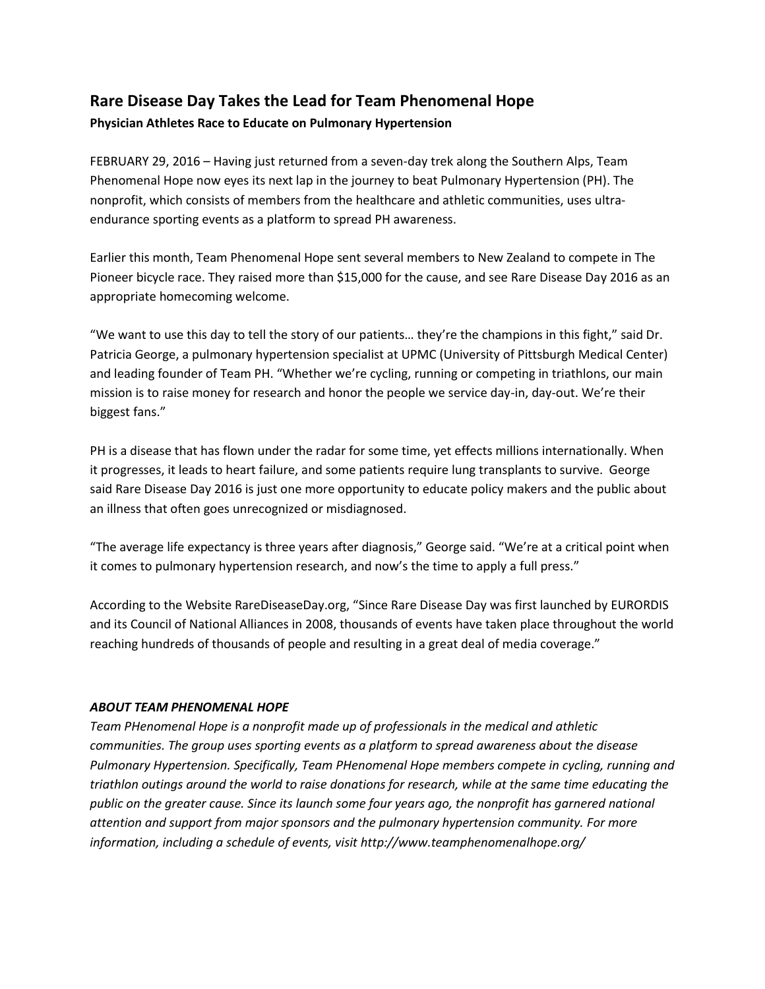## **Rare Disease Day Takes the Lead for Team Phenomenal Hope**

## **Physician Athletes Race to Educate on Pulmonary Hypertension**

FEBRUARY 29, 2016 – Having just returned from a seven-day trek along the Southern Alps, Team Phenomenal Hope now eyes its next lap in the journey to beat Pulmonary Hypertension (PH). The nonprofit, which consists of members from the healthcare and athletic communities, uses ultraendurance sporting events as a platform to spread PH awareness.

Earlier this month, Team Phenomenal Hope sent several members to New Zealand to compete in The Pioneer bicycle race. They raised more than \$15,000 for the cause, and see Rare Disease Day 2016 as an appropriate homecoming welcome.

"We want to use this day to tell the story of our patients… they're the champions in this fight," said Dr. Patricia George, a pulmonary hypertension specialist at UPMC (University of Pittsburgh Medical Center) and leading founder of Team PH. "Whether we're cycling, running or competing in triathlons, our main mission is to raise money for research and honor the people we service day-in, day-out. We're their biggest fans."

PH is a disease that has flown under the radar for some time, yet effects millions internationally. When it progresses, it leads to heart failure, and some patients require lung transplants to survive. George said Rare Disease Day 2016 is just one more opportunity to educate policy makers and the public about an illness that often goes unrecognized or misdiagnosed.

"The average life expectancy is three years after diagnosis," George said. "We're at a critical point when it comes to pulmonary hypertension research, and now's the time to apply a full press."

According to the Website RareDiseaseDay.org, "Since Rare Disease Day was first launched by EURORDIS and its Council of National Alliances in 2008, thousands of events have taken place throughout the world reaching hundreds of thousands of people and resulting in a great deal of media coverage."

## *ABOUT TEAM PHENOMENAL HOPE*

*Team PHenomenal Hope is a nonprofit made up of professionals in the medical and athletic communities. The group uses sporting events as a platform to spread awareness about the disease Pulmonary Hypertension. Specifically, Team PHenomenal Hope members compete in cycling, running and triathlon outings around the world to raise donations for research, while at the same time educating the public on the greater cause. Since its launch some four years ago, the nonprofit has garnered national attention and support from major sponsors and the pulmonary hypertension community. For more information, including a schedule of events, visit http://www.teamphenomenalhope.org/*